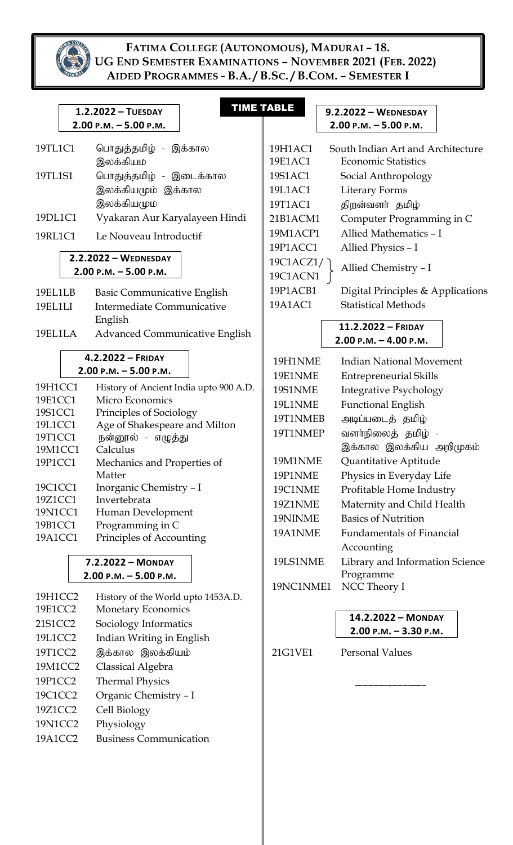

| $2.2.2022 - \text{WEDNESDAY}$ |                                                                                                                                                        |                                                                                                                                                                                                                                                                                                                        |                                                                                                                                                                                                                                                                                                                                                                                                                                                                                                                                                                                                                                               |                                                                                     |                                                                                                                                                                                                                                             |                                                                                                                                                                                                                                                                                                                                                                                                                                                                                                                                                                                                                                                                                                                                                                                                                                                                                                                     |
|-------------------------------|--------------------------------------------------------------------------------------------------------------------------------------------------------|------------------------------------------------------------------------------------------------------------------------------------------------------------------------------------------------------------------------------------------------------------------------------------------------------------------------|-----------------------------------------------------------------------------------------------------------------------------------------------------------------------------------------------------------------------------------------------------------------------------------------------------------------------------------------------------------------------------------------------------------------------------------------------------------------------------------------------------------------------------------------------------------------------------------------------------------------------------------------------|-------------------------------------------------------------------------------------|---------------------------------------------------------------------------------------------------------------------------------------------------------------------------------------------------------------------------------------------|---------------------------------------------------------------------------------------------------------------------------------------------------------------------------------------------------------------------------------------------------------------------------------------------------------------------------------------------------------------------------------------------------------------------------------------------------------------------------------------------------------------------------------------------------------------------------------------------------------------------------------------------------------------------------------------------------------------------------------------------------------------------------------------------------------------------------------------------------------------------------------------------------------------------|
|                               |                                                                                                                                                        |                                                                                                                                                                                                                                                                                                                        |                                                                                                                                                                                                                                                                                                                                                                                                                                                                                                                                                                                                                                               |                                                                                     |                                                                                                                                                                                                                                             |                                                                                                                                                                                                                                                                                                                                                                                                                                                                                                                                                                                                                                                                                                                                                                                                                                                                                                                     |
| 19EL1LB                       | <b>Basic Communicative English</b>                                                                                                                     |                                                                                                                                                                                                                                                                                                                        |                                                                                                                                                                                                                                                                                                                                                                                                                                                                                                                                                                                                                                               |                                                                                     |                                                                                                                                                                                                                                             |                                                                                                                                                                                                                                                                                                                                                                                                                                                                                                                                                                                                                                                                                                                                                                                                                                                                                                                     |
| 19EL1LI                       |                                                                                                                                                        |                                                                                                                                                                                                                                                                                                                        |                                                                                                                                                                                                                                                                                                                                                                                                                                                                                                                                                                                                                                               |                                                                                     |                                                                                                                                                                                                                                             |                                                                                                                                                                                                                                                                                                                                                                                                                                                                                                                                                                                                                                                                                                                                                                                                                                                                                                                     |
|                               |                                                                                                                                                        |                                                                                                                                                                                                                                                                                                                        |                                                                                                                                                                                                                                                                                                                                                                                                                                                                                                                                                                                                                                               |                                                                                     | 11.2.2022 - FRIDAY                                                                                                                                                                                                                          |                                                                                                                                                                                                                                                                                                                                                                                                                                                                                                                                                                                                                                                                                                                                                                                                                                                                                                                     |
|                               |                                                                                                                                                        |                                                                                                                                                                                                                                                                                                                        |                                                                                                                                                                                                                                                                                                                                                                                                                                                                                                                                                                                                                                               |                                                                                     |                                                                                                                                                                                                                                             |                                                                                                                                                                                                                                                                                                                                                                                                                                                                                                                                                                                                                                                                                                                                                                                                                                                                                                                     |
|                               |                                                                                                                                                        |                                                                                                                                                                                                                                                                                                                        |                                                                                                                                                                                                                                                                                                                                                                                                                                                                                                                                                                                                                                               |                                                                                     |                                                                                                                                                                                                                                             |                                                                                                                                                                                                                                                                                                                                                                                                                                                                                                                                                                                                                                                                                                                                                                                                                                                                                                                     |
|                               |                                                                                                                                                        |                                                                                                                                                                                                                                                                                                                        |                                                                                                                                                                                                                                                                                                                                                                                                                                                                                                                                                                                                                                               |                                                                                     |                                                                                                                                                                                                                                             |                                                                                                                                                                                                                                                                                                                                                                                                                                                                                                                                                                                                                                                                                                                                                                                                                                                                                                                     |
| 19H1CC1                       |                                                                                                                                                        |                                                                                                                                                                                                                                                                                                                        |                                                                                                                                                                                                                                                                                                                                                                                                                                                                                                                                                                                                                                               |                                                                                     |                                                                                                                                                                                                                                             |                                                                                                                                                                                                                                                                                                                                                                                                                                                                                                                                                                                                                                                                                                                                                                                                                                                                                                                     |
| 19E1CC1                       | Micro Economics                                                                                                                                        |                                                                                                                                                                                                                                                                                                                        |                                                                                                                                                                                                                                                                                                                                                                                                                                                                                                                                                                                                                                               |                                                                                     |                                                                                                                                                                                                                                             |                                                                                                                                                                                                                                                                                                                                                                                                                                                                                                                                                                                                                                                                                                                                                                                                                                                                                                                     |
|                               |                                                                                                                                                        |                                                                                                                                                                                                                                                                                                                        |                                                                                                                                                                                                                                                                                                                                                                                                                                                                                                                                                                                                                                               |                                                                                     |                                                                                                                                                                                                                                             |                                                                                                                                                                                                                                                                                                                                                                                                                                                                                                                                                                                                                                                                                                                                                                                                                                                                                                                     |
|                               |                                                                                                                                                        |                                                                                                                                                                                                                                                                                                                        |                                                                                                                                                                                                                                                                                                                                                                                                                                                                                                                                                                                                                                               |                                                                                     |                                                                                                                                                                                                                                             |                                                                                                                                                                                                                                                                                                                                                                                                                                                                                                                                                                                                                                                                                                                                                                                                                                                                                                                     |
|                               |                                                                                                                                                        |                                                                                                                                                                                                                                                                                                                        |                                                                                                                                                                                                                                                                                                                                                                                                                                                                                                                                                                                                                                               |                                                                                     |                                                                                                                                                                                                                                             |                                                                                                                                                                                                                                                                                                                                                                                                                                                                                                                                                                                                                                                                                                                                                                                                                                                                                                                     |
|                               |                                                                                                                                                        |                                                                                                                                                                                                                                                                                                                        |                                                                                                                                                                                                                                                                                                                                                                                                                                                                                                                                                                                                                                               |                                                                                     |                                                                                                                                                                                                                                             |                                                                                                                                                                                                                                                                                                                                                                                                                                                                                                                                                                                                                                                                                                                                                                                                                                                                                                                     |
|                               |                                                                                                                                                        |                                                                                                                                                                                                                                                                                                                        |                                                                                                                                                                                                                                                                                                                                                                                                                                                                                                                                                                                                                                               |                                                                                     |                                                                                                                                                                                                                                             |                                                                                                                                                                                                                                                                                                                                                                                                                                                                                                                                                                                                                                                                                                                                                                                                                                                                                                                     |
| 19C1CC1                       |                                                                                                                                                        |                                                                                                                                                                                                                                                                                                                        |                                                                                                                                                                                                                                                                                                                                                                                                                                                                                                                                                                                                                                               |                                                                                     |                                                                                                                                                                                                                                             |                                                                                                                                                                                                                                                                                                                                                                                                                                                                                                                                                                                                                                                                                                                                                                                                                                                                                                                     |
| 19Z1CC1                       | Invertebrata                                                                                                                                           |                                                                                                                                                                                                                                                                                                                        |                                                                                                                                                                                                                                                                                                                                                                                                                                                                                                                                                                                                                                               |                                                                                     |                                                                                                                                                                                                                                             |                                                                                                                                                                                                                                                                                                                                                                                                                                                                                                                                                                                                                                                                                                                                                                                                                                                                                                                     |
| 19N1CC1                       |                                                                                                                                                        |                                                                                                                                                                                                                                                                                                                        |                                                                                                                                                                                                                                                                                                                                                                                                                                                                                                                                                                                                                                               |                                                                                     |                                                                                                                                                                                                                                             |                                                                                                                                                                                                                                                                                                                                                                                                                                                                                                                                                                                                                                                                                                                                                                                                                                                                                                                     |
| 19B1CC1                       | Programming in C                                                                                                                                       |                                                                                                                                                                                                                                                                                                                        |                                                                                                                                                                                                                                                                                                                                                                                                                                                                                                                                                                                                                                               |                                                                                     |                                                                                                                                                                                                                                             |                                                                                                                                                                                                                                                                                                                                                                                                                                                                                                                                                                                                                                                                                                                                                                                                                                                                                                                     |
|                               |                                                                                                                                                        |                                                                                                                                                                                                                                                                                                                        |                                                                                                                                                                                                                                                                                                                                                                                                                                                                                                                                                                                                                                               |                                                                                     |                                                                                                                                                                                                                                             |                                                                                                                                                                                                                                                                                                                                                                                                                                                                                                                                                                                                                                                                                                                                                                                                                                                                                                                     |
|                               |                                                                                                                                                        |                                                                                                                                                                                                                                                                                                                        |                                                                                                                                                                                                                                                                                                                                                                                                                                                                                                                                                                                                                                               |                                                                                     |                                                                                                                                                                                                                                             |                                                                                                                                                                                                                                                                                                                                                                                                                                                                                                                                                                                                                                                                                                                                                                                                                                                                                                                     |
|                               |                                                                                                                                                        |                                                                                                                                                                                                                                                                                                                        |                                                                                                                                                                                                                                                                                                                                                                                                                                                                                                                                                                                                                                               |                                                                                     |                                                                                                                                                                                                                                             |                                                                                                                                                                                                                                                                                                                                                                                                                                                                                                                                                                                                                                                                                                                                                                                                                                                                                                                     |
|                               |                                                                                                                                                        |                                                                                                                                                                                                                                                                                                                        |                                                                                                                                                                                                                                                                                                                                                                                                                                                                                                                                                                                                                                               |                                                                                     |                                                                                                                                                                                                                                             |                                                                                                                                                                                                                                                                                                                                                                                                                                                                                                                                                                                                                                                                                                                                                                                                                                                                                                                     |
| 19H1CC2                       |                                                                                                                                                        |                                                                                                                                                                                                                                                                                                                        |                                                                                                                                                                                                                                                                                                                                                                                                                                                                                                                                                                                                                                               |                                                                                     |                                                                                                                                                                                                                                             |                                                                                                                                                                                                                                                                                                                                                                                                                                                                                                                                                                                                                                                                                                                                                                                                                                                                                                                     |
| 19E1CC2                       |                                                                                                                                                        |                                                                                                                                                                                                                                                                                                                        |                                                                                                                                                                                                                                                                                                                                                                                                                                                                                                                                                                                                                                               |                                                                                     |                                                                                                                                                                                                                                             |                                                                                                                                                                                                                                                                                                                                                                                                                                                                                                                                                                                                                                                                                                                                                                                                                                                                                                                     |
| 21S1CC2                       |                                                                                                                                                        |                                                                                                                                                                                                                                                                                                                        |                                                                                                                                                                                                                                                                                                                                                                                                                                                                                                                                                                                                                                               |                                                                                     |                                                                                                                                                                                                                                             |                                                                                                                                                                                                                                                                                                                                                                                                                                                                                                                                                                                                                                                                                                                                                                                                                                                                                                                     |
| 19L1CC2                       |                                                                                                                                                        |                                                                                                                                                                                                                                                                                                                        |                                                                                                                                                                                                                                                                                                                                                                                                                                                                                                                                                                                                                                               |                                                                                     |                                                                                                                                                                                                                                             |                                                                                                                                                                                                                                                                                                                                                                                                                                                                                                                                                                                                                                                                                                                                                                                                                                                                                                                     |
| 19T1CC2                       |                                                                                                                                                        |                                                                                                                                                                                                                                                                                                                        | 21G1VE1                                                                                                                                                                                                                                                                                                                                                                                                                                                                                                                                                                                                                                       |                                                                                     | Personal Values                                                                                                                                                                                                                             |                                                                                                                                                                                                                                                                                                                                                                                                                                                                                                                                                                                                                                                                                                                                                                                                                                                                                                                     |
| 19M1CC2                       |                                                                                                                                                        |                                                                                                                                                                                                                                                                                                                        |                                                                                                                                                                                                                                                                                                                                                                                                                                                                                                                                                                                                                                               |                                                                                     |                                                                                                                                                                                                                                             |                                                                                                                                                                                                                                                                                                                                                                                                                                                                                                                                                                                                                                                                                                                                                                                                                                                                                                                     |
| 19P1CC2                       |                                                                                                                                                        |                                                                                                                                                                                                                                                                                                                        |                                                                                                                                                                                                                                                                                                                                                                                                                                                                                                                                                                                                                                               |                                                                                     |                                                                                                                                                                                                                                             |                                                                                                                                                                                                                                                                                                                                                                                                                                                                                                                                                                                                                                                                                                                                                                                                                                                                                                                     |
| 19C1CC2                       |                                                                                                                                                        |                                                                                                                                                                                                                                                                                                                        |                                                                                                                                                                                                                                                                                                                                                                                                                                                                                                                                                                                                                                               |                                                                                     |                                                                                                                                                                                                                                             |                                                                                                                                                                                                                                                                                                                                                                                                                                                                                                                                                                                                                                                                                                                                                                                                                                                                                                                     |
|                               |                                                                                                                                                        |                                                                                                                                                                                                                                                                                                                        |                                                                                                                                                                                                                                                                                                                                                                                                                                                                                                                                                                                                                                               |                                                                                     |                                                                                                                                                                                                                                             |                                                                                                                                                                                                                                                                                                                                                                                                                                                                                                                                                                                                                                                                                                                                                                                                                                                                                                                     |
|                               |                                                                                                                                                        |                                                                                                                                                                                                                                                                                                                        |                                                                                                                                                                                                                                                                                                                                                                                                                                                                                                                                                                                                                                               |                                                                                     |                                                                                                                                                                                                                                             |                                                                                                                                                                                                                                                                                                                                                                                                                                                                                                                                                                                                                                                                                                                                                                                                                                                                                                                     |
|                               |                                                                                                                                                        |                                                                                                                                                                                                                                                                                                                        |                                                                                                                                                                                                                                                                                                                                                                                                                                                                                                                                                                                                                                               |                                                                                     |                                                                                                                                                                                                                                             |                                                                                                                                                                                                                                                                                                                                                                                                                                                                                                                                                                                                                                                                                                                                                                                                                                                                                                                     |
|                               |                                                                                                                                                        |                                                                                                                                                                                                                                                                                                                        |                                                                                                                                                                                                                                                                                                                                                                                                                                                                                                                                                                                                                                               |                                                                                     |                                                                                                                                                                                                                                             |                                                                                                                                                                                                                                                                                                                                                                                                                                                                                                                                                                                                                                                                                                                                                                                                                                                                                                                     |
|                               | 19TL1C1<br>19TL1S1<br>19DL1C1<br>19RL1C1<br>19EL1LA<br>19S1CC1<br>19L1CC1<br>19T1CC1<br>19M1CC1<br>19P1CC1<br>19A1CC1<br>19Z1CC2<br>19N1CC2<br>19A1CC2 | 1.2.2022 - TUESDAY<br>$2.00$ P.M. $-5.00$ P.M.<br>இலக்கியம்<br>இலக்கியமும்<br>$2.00$ P.M. $-5.00$ P.M.<br>English<br>4.2.2022 - FRIDAY<br>$2.00$ P.M. $-5.00$ P.M.<br>Calculus<br>Matter<br>7.2.2022 - MONDAY<br>$2.00$ P.M. $-5.00$ P.M.<br>Classical Algebra<br><b>Thermal Physics</b><br>Cell Biology<br>Physiology | பொதுத்தமிழ் - இக்கால<br>பொதுத்தமிழ் - இடைக்கால<br>இலக்கியமும் இக்கால<br>Vyakaran Aur Karyalayeen Hindi<br>Le Nouveau Introductif<br>Intermediate Communicative<br><b>Advanced Communicative English</b><br>History of Ancient India upto 900 A.D.<br>Principles of Sociology<br>Age of Shakespeare and Milton<br>நன்னூல் - எழுத்து<br>Mechanics and Properties of<br>Inorganic Chemistry - I<br>Human Development<br>Principles of Accounting<br>History of the World upto 1453A.D.<br>Monetary Economics<br>Sociology Informatics<br>Indian Writing in English<br>இக்கால இலக்கியம்<br>Organic Chemistry - I<br><b>Business Communication</b> | <b>TIME TABLE</b><br>19H1AC1<br>19E1AC1<br>19S1AC1<br>19L1AC1<br>19T1AC1<br>19A1AC1 | 21B1ACM1<br>19M1ACP1<br>19P1ACC1<br>19C1ACZ1/<br>19C1ACN1<br>19P1ACB1<br>19H1NME<br>19E1NME<br>19S1NME<br>19L1NME<br>19T1NMEB<br>19T1NMEP<br>19M1NME<br>19P1NME<br>19C1NME<br><b>19Z1NME</b><br>19NINME<br>19A1NME<br>19LS1NME<br>19NC1NME1 | 9.2.2022 - WEDNESDAY<br>$2.00$ P.M. $-5.00$ P.M.<br>South Indian Art and Architecture<br><b>Economic Statistics</b><br>Social Anthropology<br><b>Literary Forms</b><br>திறன்வளா் தமிழ்<br>Computer Programming in C<br>Allied Mathematics - I<br>Allied Physics - I<br>Allied Chemistry - I<br>Digital Principles & Applications<br><b>Statistical Methods</b><br>$2.00$ P.M. $-$ 4.00 P.M.<br><b>Indian National Movement</b><br><b>Entrepreneurial Skills</b><br><b>Integrative Psychology</b><br><b>Functional English</b><br>அடிப்படைத் தமிழ்<br>வளா்நிலைத் தமிழ் -<br>இக்கால இலக்கிய அறிமுகம்<br>Quantitative Aptitude<br>Physics in Everyday Life<br>Profitable Home Industry<br>Maternity and Child Health<br><b>Basics of Nutrition</b><br><b>Fundamentals of Financial</b><br>Accounting<br>Library and Information Science<br>Programme<br>NCC Theory I<br>14.2.2022 - MONDAY<br>$2.00$ P.M. $-3.30$ P.M. |